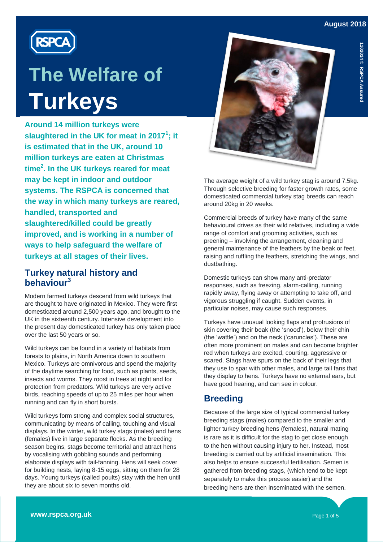



**Around 14 million turkeys were slaughtered in the UK for meat in 2017<sup>1</sup> ; it is estimated that in the UK, around 10 million turkeys are eaten at Christmas time<sup>2</sup> . In the UK turkeys reared for meat may be kept in indoor and outdoor systems. The RSPCA is concerned that the way in which many turkeys are reared, handled, transported and slaughtered/killed could be greatly improved, and is working in a number of ways to help safeguard the welfare of turkeys at all stages of their lives.** 

## **Turkey natural history and behaviour<sup>3</sup>**

Modern farmed turkeys descend from wild turkeys that are thought to have originated in Mexico. They were first domesticated around 2,500 years ago, and brought to the UK in the sixteenth century. Intensive development into the present day domesticated turkey has only taken place over the last 50 years or so.

Wild turkeys can be found in a variety of habitats from forests to plains, in North America down to southern Mexico. Turkeys are omnivorous and spend the majority of the daytime searching for food, such as plants, seeds, insects and worms. They roost in trees at night and for protection from predators. Wild turkeys are very active birds, reaching speeds of up to 25 miles per hour when running and can fly in short bursts.

Wild turkeys form strong and complex social structures, communicating by means of calling, touching and visual displays. In the winter, wild turkey stags (males) and hens (females) live in large separate flocks. As the breeding season begins, stags become territorial and attract hens by vocalising with gobbling sounds and performing elaborate displays with tail-fanning. Hens will seek cover for building nests, laying 8-15 eggs, sitting on them for 28 days. Young turkeys (called poults) stay with the hen until they are about six to seven months old.



The average weight of a wild turkey stag is around 7.5kg. Through selective breeding for faster growth rates, some domesticated commercial turkey stag breeds can reach around 20kg in 20 weeks.

Commercial breeds of turkey have many of the same behavioural drives as their wild relatives, including a wide range of comfort and grooming activities, such as preening – involving the arrangement, cleaning and general maintenance of the feathers by the beak or feet, raising and ruffling the feathers, stretching the wings, and dustbathing.

Domestic turkeys can show many anti-predator responses, such as freezing, alarm-calling, running rapidly away, flying away or attempting to take off, and vigorous struggling if caught. Sudden events, in particular noises, may cause such responses.

Turkeys have unusual looking flaps and protrusions of skin covering their beak (the 'snood'), below their chin (the 'wattle') and on the neck ('caruncles'). These are often more prominent on males and can become brighter red when turkeys are excited, courting, aggressive or scared. Stags have spurs on the back of their legs that they use to spar with other males, and large tail fans that they display to hens. Turkeys have no external ears, but have good hearing, and can see in colour.

# **Breeding**

Because of the large size of typical commercial turkey breeding stags (males) compared to the smaller and lighter turkey breeding hens (females), natural mating is rare as it is difficult for the stag to get close enough to the hen without causing injury to her. Instead, most breeding is carried out by artificial insemination. This also helps to ensure successful fertilisation. Semen is gathered from breeding stags, (which tend to be kept separately to make this process easier) and the breeding hens are then inseminated with the semen.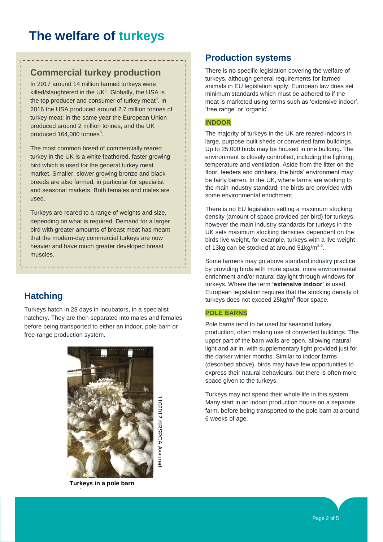## **Commercial turkey production**

In 2017 around 14 million farmed turkeys were killed/slaughtered in the UK $<sup>1</sup>$ . Globally, the USA is</sup> the top producer and consumer of turkey meat<sup>4</sup>. In 2016 the USA produced around 2.7 million tonnes of turkey meat; in the same year the European Union produced around 2 million tonnes, and the UK produced 164,000 tonnes<sup>5</sup>.

The most common breed of commercially reared turkey in the UK is a white feathered, faster growing bird which is used for the general turkey meat market. Smaller, slower growing bronze and black breeds are also farmed, in particular for specialist and seasonal markets. Both females and males are used.

Turkeys are reared to a range of weights and size, depending on what is required. Demand for a larger bird with greater amounts of breast meat has meant that the modern-day commercial turkeys are now heavier and have much greater developed breast muscles.

# **Hatching**

Turkeys hatch in 28 days in incubators, in a specialist hatchery. They are then separated into males and females before being transported to either an indoor, pole barn or free-range production system.



1102012 ©RSPCA Assured102012 @RSPCA Assured

**Turkeys in a pole barn** 

**system**

## **Production systems**

There is no specific legislation covering the welfare of turkeys, although general requirements for farmed animals in EU legislation apply. European law does set minimum standards which must be adhered to if the meat is marketed using terms such as 'extensive indoor', 'free range' or 'organic'.

#### **INDOOR**

The majority of turkeys in the UK are reared indoors in large, purpose-built sheds or converted farm buildings. Up to 25,000 birds may be housed in one building. The environment is closely controlled, including the lighting, temperature and ventilation. Aside from the litter on the floor, feeders and drinkers, the birds' environment may be fairly barren. In the UK, where farms are working to the main industry standard, the birds are provided with some environmental enrichment.

There is no EU legislation setting a maximum stocking density (amount of space provided per bird) for turkeys, however the main industry standards for turkeys in the UK sets maximum stocking densities dependent on the birds live weight, for example, turkeys with a live weight of 13kg can be stocked at around  $51 \text{kg/m}^2$ <sup>6</sup>.

Some farmers may go above standard industry practice by providing birds with more space, more environmental enrichment and/or natural daylight through windows for turkeys. Where the term **'extensive indoor'** is used, European legislation requires that the stocking density of turkeys does not exceed 25kg/m<sup>2</sup> floor space.

#### **POLE BARNS**

Pole barns tend to be used for seasonal turkey production, often making use of converted buildings. The upper part of the barn walls are open, allowing natural light and air in, with supplementary light provided just for the darker winter months. Similar to indoor farms (described above), birds may have few opportunities to express their natural behaviours, but there is often more space given to the turkeys.

Turkeys may not spend their whole life in this system. Many start in an indoor production house on a separate farm, before being transported to the pole barn at around 6 weeks of age.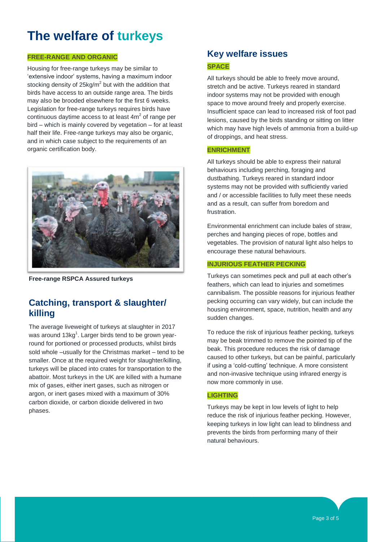#### **FREE-RANGE AND ORGANIC**

Housing for free-range turkeys may be similar to 'extensive indoor' systems, having a maximum indoor stocking density of 25 $kg/m^2$  but with the addition that birds have access to an outside range area. The birds may also be brooded elsewhere for the first 6 weeks. Legislation for free-range turkeys requires birds have continuous daytime access to at least  $4m^2$  of range per bird – which is mainly covered by vegetation – for at least half their life. Free-range turkeys may also be organic, and in which case subject to the requirements of an organic certification body.



**Free-range RSPCA Assured turkeys**

## **Catching, transport & slaughter/ killing**

The average liveweight of turkeys at slaughter in 2017 was around 13kg<sup>1</sup>. Larger birds tend to be grown yearround for portioned or processed products, whilst birds sold whole –usually for the Christmas market – tend to be smaller. Once at the required weight for slaughter/killing, turkeys will be placed into crates for transportation to the abattoir. Most turkeys in the UK are killed with a humane mix of gases, either inert gases, such as nitrogen or argon, or inert gases mixed with a maximum of 30% carbon dioxide, or carbon dioxide delivered in two phases.

## **Key welfare issues SPACE**

All turkeys should be able to freely move around, stretch and be active. Turkeys reared in standard indoor systems may not be provided with enough space to move around freely and properly exercise. Insufficient space can lead to increased risk of foot pad lesions, caused by the birds standing or sitting on litter which may have high levels of ammonia from a build-up of droppings, and heat stress.

#### **ENRICHMENT**

All turkeys should be able to express their natural behaviours including perching, foraging and dustbathing. Turkeys reared in standard indoor systems may not be provided with sufficiently varied and / or accessible facilities to fully meet these needs and as a result, can suffer from boredom and frustration.

Environmental enrichment can include bales of straw, perches and hanging pieces of rope, bottles and vegetables. The provision of natural light also helps to encourage these natural behaviours.

#### **INJURIOUS FEATHER PECKING**

Turkeys can sometimes peck and pull at each other's feathers, which can lead to injuries and sometimes cannibalism. The possible reasons for injurious feather pecking occurring can vary widely, but can include the housing environment, space, nutrition, health and any sudden changes.

To reduce the risk of injurious feather pecking, turkeys may be beak trimmed to remove the pointed tip of the beak. This procedure reduces the risk of damage caused to other turkeys, but can be painful, particularly if using a 'cold-cutting' technique. A more consistent and non-invasive technique using infrared energy is now more commonly in use.

#### **LIGHTING**

Turkeys may be kept in low levels of light to help reduce the risk of injurious feather pecking. However, keeping turkeys in low light can lead to blindness and prevents the birds from performing many of their natural behaviours.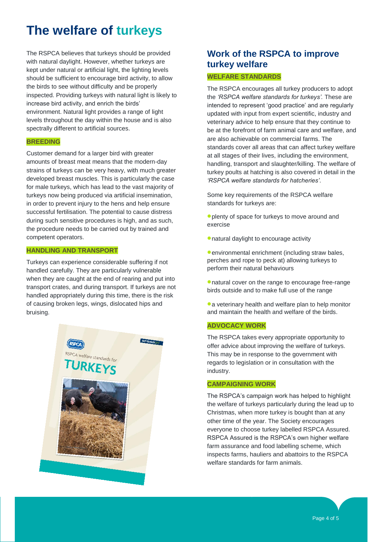The RSPCA believes that turkeys should be provided with natural daylight. However, whether turkeys are kept under natural or artificial light, the lighting levels should be sufficient to encourage bird activity, to allow the birds to see without difficulty and be properly inspected. Providing turkeys with natural light is likely to increase bird activity, and enrich the birds' environment. Natural light provides a range of light levels throughout the day within the house and is also spectrally different to artificial sources.

#### **BREEDING**

Customer demand for a larger bird with greater amounts of breast meat means that the modern-day strains of turkeys can be very heavy, with much greater developed breast muscles. This is particularly the case for male turkeys, which has lead to the vast majority of turkeys now being produced via artificial insemination, in order to prevent injury to the hens and help ensure successful fertilisation. The potential to cause distress during such sensitive procedures is high, and as such, the procedure needs to be carried out by trained and competent operators.

#### **HANDLING AND TRANSPORT**

Turkeys can experience considerable suffering if not handled carefully. They are particularly vulnerable when they are caught at the end of rearing and put into transport crates, and during transport. If turkeys are not handled appropriately during this time, there is the risk of causing broken legs, wings, dislocated hips and bruising.



# **Work of the RSPCA to improve turkey welfare**

#### **WELFARE STANDARDS**

The RSPCA encourages all turkey producers to adopt the *'RSPCA welfare standards for turkeys'.* These are intended to represent 'good practice' and are regularly updated with input from expert scientific, industry and veterinary advice to help ensure that they continue to be at the forefront of farm animal care and welfare, and are also achievable on commercial farms. The standards cover all areas that can affect turkey welfare at all stages of their lives, including the environment, handling, transport and slaughter/killing. The welfare of turkey poults at hatching is also covered in detail in the *'RSPCA welfare standards for hatcheries'*.

Some key requirements of the RSPCA welfare standards for turkeys are:

- plenty of space for turkeys to move around and exercise
- natural daylight to encourage activity

**C**environmental enrichment (including straw bales, perches and rope to peck at) allowing turkeys to perform their natural behaviours

natural cover on the range to encourage free-range birds outside and to make full use of the range

• a veterinary health and welfare plan to help monitor and maintain the health and welfare of the birds.

#### **ADVOCACY WORK**

The RSPCA takes every appropriate opportunity to offer advice about improving the welfare of turkeys. This may be in response to the government with regards to legislation or in consultation with the industry.

#### **CAMPAIGNING WORK**

The RSPCA's campaign work has helped to highlight the welfare of turkeys particularly during the lead up to Christmas, when more turkey is bought than at any other time of the year. The Society encourages everyone to choose turkey labelled RSPCA Assured. RSPCA Assured is the RSPCA's own higher welfare farm assurance and food labelling scheme, which inspects farms, hauliers and abattoirs to the RSPCA welfare standards for farm animals.